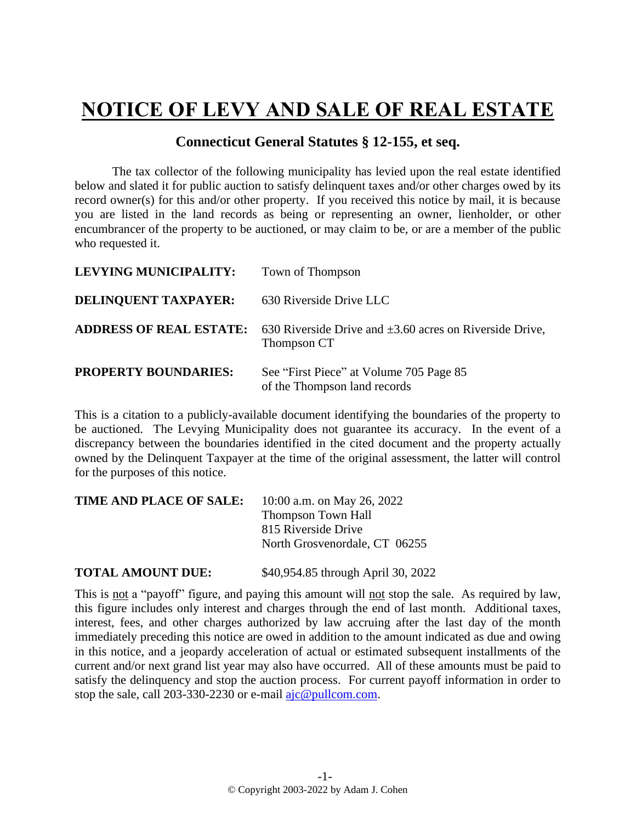## **NOTICE OF LEVY AND SALE OF REAL ESTATE**

## **Connecticut General Statutes § 12-155, et seq.**

The tax collector of the following municipality has levied upon the real estate identified below and slated it for public auction to satisfy delinquent taxes and/or other charges owed by its record owner(s) for this and/or other property. If you received this notice by mail, it is because you are listed in the land records as being or representing an owner, lienholder, or other encumbrancer of the property to be auctioned, or may claim to be, or are a member of the public who requested it.

| LEVYING MUNICIPALITY:       | Town of Thompson                                                                                           |
|-----------------------------|------------------------------------------------------------------------------------------------------------|
| DELINQUENT TAXPAYER:        | 630 Riverside Drive LLC                                                                                    |
|                             | <b>ADDRESS OF REAL ESTATE:</b> 630 Riverside Drive and $\pm 3.60$ acres on Riverside Drive,<br>Thompson CT |
| <b>PROPERTY BOUNDARIES:</b> | See "First Piece" at Volume 705 Page 85<br>of the Thompson land records                                    |

This is a citation to a publicly-available document identifying the boundaries of the property to be auctioned. The Levying Municipality does not guarantee its accuracy. In the event of a discrepancy between the boundaries identified in the cited document and the property actually owned by the Delinquent Taxpayer at the time of the original assessment, the latter will control for the purposes of this notice.

| <b>TIME AND PLACE OF SALE:</b> | 10:00 a.m. on May 26, 2022    |
|--------------------------------|-------------------------------|
|                                | <b>Thompson Town Hall</b>     |
|                                | 815 Riverside Drive           |
|                                | North Grosvenordale, CT 06255 |
|                                |                               |

**TOTAL AMOUNT DUE:** \$40,954.85 through April 30, 2022

This is not a "payoff" figure, and paying this amount will not stop the sale. As required by law, this figure includes only interest and charges through the end of last month. Additional taxes, interest, fees, and other charges authorized by law accruing after the last day of the month immediately preceding this notice are owed in addition to the amount indicated as due and owing in this notice, and a jeopardy acceleration of actual or estimated subsequent installments of the current and/or next grand list year may also have occurred. All of these amounts must be paid to satisfy the delinquency and stop the auction process. For current payoff information in order to stop the sale, call 203-330-2230 or e-mail [ajc@pullcom.com.](mailto:ajc@pullcom.com)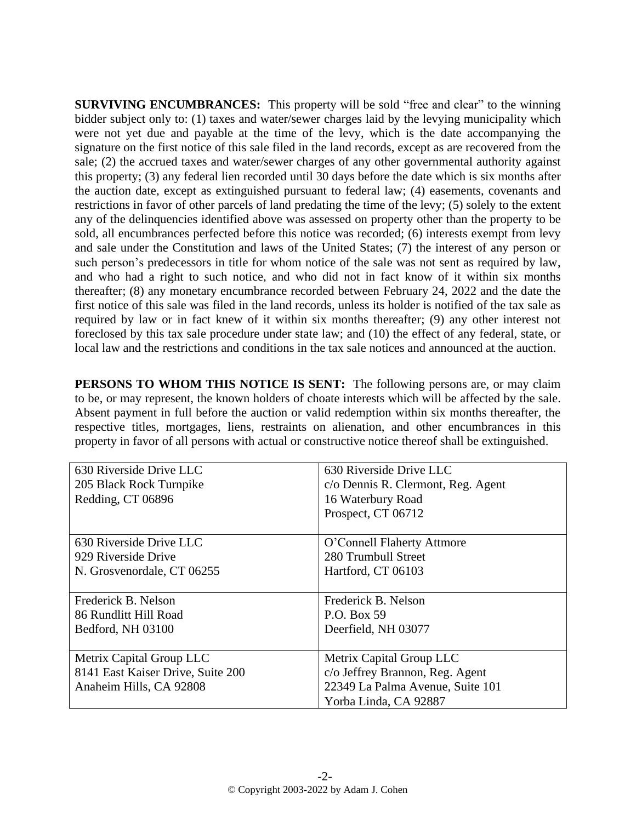**SURVIVING ENCUMBRANCES:** This property will be sold "free and clear" to the winning bidder subject only to: (1) taxes and water/sewer charges laid by the levying municipality which were not yet due and payable at the time of the levy, which is the date accompanying the signature on the first notice of this sale filed in the land records, except as are recovered from the sale; (2) the accrued taxes and water/sewer charges of any other governmental authority against this property; (3) any federal lien recorded until 30 days before the date which is six months after the auction date, except as extinguished pursuant to federal law; (4) easements, covenants and restrictions in favor of other parcels of land predating the time of the levy; (5) solely to the extent any of the delinquencies identified above was assessed on property other than the property to be sold, all encumbrances perfected before this notice was recorded; (6) interests exempt from levy and sale under the Constitution and laws of the United States; (7) the interest of any person or such person's predecessors in title for whom notice of the sale was not sent as required by law, and who had a right to such notice, and who did not in fact know of it within six months thereafter; (8) any monetary encumbrance recorded between February 24, 2022 and the date the first notice of this sale was filed in the land records, unless its holder is notified of the tax sale as required by law or in fact knew of it within six months thereafter; (9) any other interest not foreclosed by this tax sale procedure under state law; and (10) the effect of any federal, state, or local law and the restrictions and conditions in the tax sale notices and announced at the auction.

**PERSONS TO WHOM THIS NOTICE IS SENT:** The following persons are, or may claim to be, or may represent, the known holders of choate interests which will be affected by the sale. Absent payment in full before the auction or valid redemption within six months thereafter, the respective titles, mortgages, liens, restraints on alienation, and other encumbrances in this property in favor of all persons with actual or constructive notice thereof shall be extinguished.

| 630 Riverside Drive LLC           | 630 Riverside Drive LLC            |
|-----------------------------------|------------------------------------|
| 205 Black Rock Turnpike           | c/o Dennis R. Clermont, Reg. Agent |
| Redding, CT 06896                 | 16 Waterbury Road                  |
|                                   | Prospect, CT 06712                 |
|                                   |                                    |
| 630 Riverside Drive LLC           | O'Connell Flaherty Attmore         |
| 929 Riverside Drive               | 280 Trumbull Street                |
| N. Grosvenordale, CT 06255        | Hartford, CT 06103                 |
|                                   |                                    |
| Frederick B. Nelson               | Frederick B. Nelson                |
| 86 Rundlitt Hill Road             | P.O. Box 59                        |
| Bedford, NH 03100                 | Deerfield, NH 03077                |
|                                   |                                    |
| Metrix Capital Group LLC          | Metrix Capital Group LLC           |
| 8141 East Kaiser Drive, Suite 200 | c/o Jeffrey Brannon, Reg. Agent    |
| Anaheim Hills, CA 92808           | 22349 La Palma Avenue, Suite 101   |
|                                   | Yorba Linda, CA 92887              |